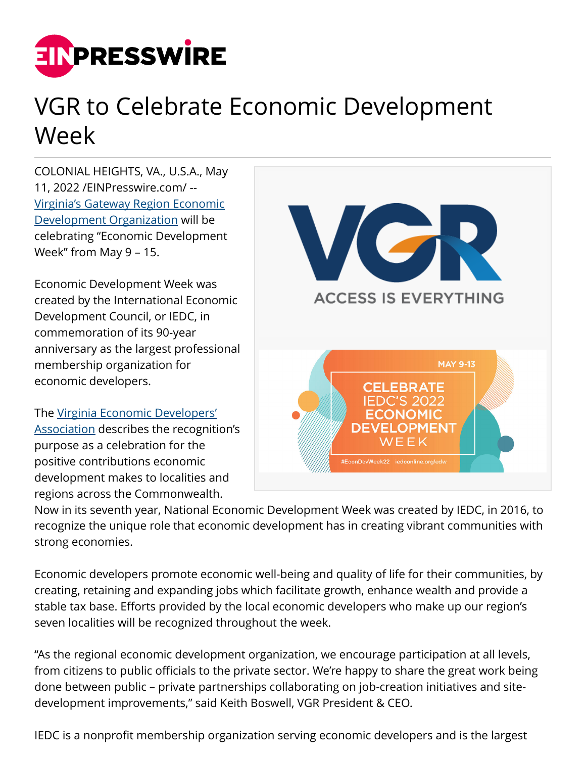

## VGR to Celebrate Economic Development Week

COLONIAL HEIGHTS, VA., U.S.A., May 11, 2022 /[EINPresswire.com/](http://www.einpresswire.com) -- [Virginia's Gateway Region Economic](https://gatewayregion.com) [Development Organization](https://gatewayregion.com) will be celebrating "Economic Development Week" from May 9 – 15.

Economic Development Week was created by the International Economic Development Council, or IEDC, in commemoration of its 90-year anniversary as the largest professional membership organization for economic developers.

The [Virginia Economic Developers'](https://www.goveda.org/page/21EDWeek#:~:text=VEDA%20Is%20marking%20National%20Economic%20Development%20Week%20from,makes%20to%20localities%20and%20regions%20across%20the%20Commonwealth.) [Association](https://www.goveda.org/page/21EDWeek#:~:text=VEDA%20Is%20marking%20National%20Economic%20Development%20Week%20from,makes%20to%20localities%20and%20regions%20across%20the%20Commonwealth.) describes the recognition's purpose as a celebration for the positive contributions economic development makes to localities and regions across the Commonwealth.



Now in its seventh year, National Economic Development Week was created by IEDC, in 2016, to recognize the unique role that economic development has in creating vibrant communities with strong economies.

Economic developers promote economic well-being and quality of life for their communities, by creating, retaining and expanding jobs which facilitate growth, enhance wealth and provide a stable tax base. Efforts provided by the local economic developers who make up our region's seven localities will be recognized throughout the week.

"As the regional economic development organization, we encourage participation at all levels, from citizens to public officials to the private sector. We're happy to share the great work being done between public – private partnerships collaborating on job-creation initiatives and sitedevelopment improvements," said Keith Boswell, VGR President & CEO.

IEDC is a nonprofit membership organization serving economic developers and is the largest